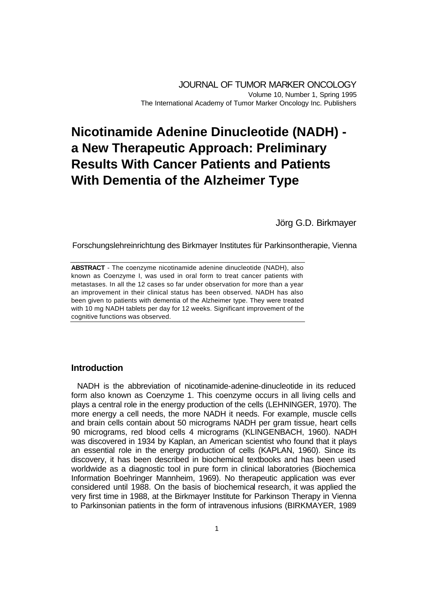JOURNAL OF TUMOR MARKER ONCOLOGY Volume 10, Number 1, Spring 1995 The International Academy of Tumor Marker Oncology Inc. Publishers

# **Nicotinamide Adenine Dinucleotide (NADH) a New Therapeutic Approach: Preliminary Results With Cancer Patients and Patients With Dementia of the Alzheimer Type**

Jörg G.D. Birkmayer

Forschungslehreinrichtung des Birkmayer Institutes für Parkinsontherapie, Vienna

**ABSTRACT** - The coenzyme nicotinamide adenine dinucleotide (NADH), also known as Coenzyme I, was used in oral form to treat cancer patients with metastases. In all the 12 cases so far under observation for more than a year an improvement in their clinical status has been observed. NADH has also been given to patients with dementia of the Alzheimer type. They were treated with 10 mg NADH tablets per day for 12 weeks. Significant improvement of the cognitive functions was observed.

# **Introduction**

NADH is the abbreviation of nicotinamide-adenine-dinucleotide in its reduced form also known as Coenzyme 1. This coenzyme occurs in all living cells and plays a central role in the energy production of the cells (LEHNINGER, 1970). The more energy a cell needs, the more NADH it needs. For example, muscle cells and brain cells contain about 50 micrograms NADH per gram tissue, heart cells 90 micrograms, red blood cells 4 micrograms (KLINGENBACH, 1960). NADH was discovered in 1934 by Kaplan, an American scientist who found that it plays an essential role in the energy production of cells (KAPLAN, 1960). Since its discovery, it has been described in biochemical textbooks and has been used worldwide as a diagnostic tool in pure form in clinical laboratories (Biochemica Information Boehringer Mannheim, 1969). No therapeutic application was ever considered until 1988. On the basis of biochemical research, it was applied the very first time in 1988, at the Birkmayer Institute for Parkinson Therapy in Vienna to Parkinsonian patients in the form of intravenous infusions (BIRKMAYER, 1989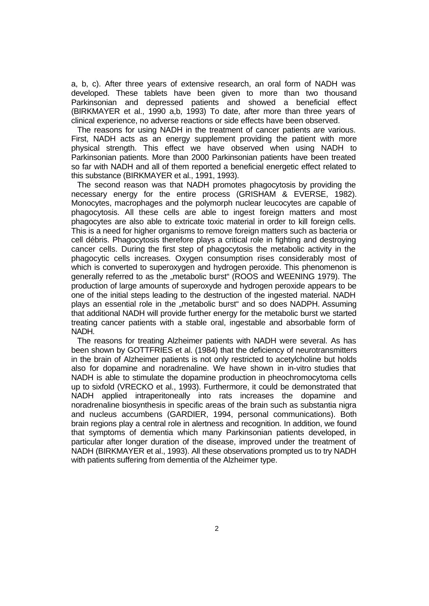a, b, c). After three years of extensive research, an oral form of NADH was developed. These tablets have been given to more than two thousand Parkinsonian and depressed patients and showed a beneficial effect (BIRKMAYER et al., 1990 a,b, 1993) To date, after more than three years of clinical experience, no adverse reactions or side effects have been observed.

The reasons for using NADH in the treatment of cancer patients are various. First, NADH acts as an energy supplement providing the patient with more physical strength. This effect we have observed when using NADH to Parkinsonian patients. More than 2000 Parkinsonian patients have been treated so far with NADH and all of them reported a beneficial energetic effect related to this substance (BIRKMAYER et al., 1991, 1993).

The second reason was that NADH promotes phagocytosis by providing the necessary energy for the entire process (GRISHAM & EVERSE, 1982). Monocytes, macrophages and the polymorph nuclear leucocytes are capable of phagocytosis. All these cells are able to ingest foreign matters and most phagocytes are also able to extricate toxic material in order to kill foreign cells. This is a need for higher organisms to remove foreign matters such as bacteria or cell débris. Phagocytosis therefore plays a critical role in fighting and destroying cancer cells. During the first step of phagocytosis the metabolic activity in the phagocytic cells increases. Oxygen consumption rises considerably most of which is converted to superoxygen and hydrogen peroxide. This phenomenon is generally referred to as the "metabolic burst" (ROOS and WEENING 1979). The production of large amounts of superoxyde and hydrogen peroxide appears to be one of the initial steps leading to the destruction of the ingested material. NADH plays an essential role in the "metabolic burst" and so does NADPH. Assuming that additional NADH will provide further energy for the metabolic burst we started treating cancer patients with a stable oral, ingestable and absorbable form of NADH.

The reasons for treating Alzheimer patients with NADH were several. As has been shown by GOTTFRIES et al. (1984) that the deficiency of neurotransmitters in the brain of Alzheimer patients is not only restricted to acetylcholine but holds also for dopamine and noradrenaline. We have shown in in-vitro studies that NADH is able to stimulate the dopamine production in pheochromocytoma cells up to sixfold (VRECKO et al., 1993). Furthermore, it could be demonstrated that NADH applied intraperitoneally into rats increases the dopamine and noradrenaline biosynthesis in specific areas of the brain such as substantia nigra and nucleus accumbens (GARDIER, 1994, personal communications). Both brain regions play a central role in alertness and recognition. In addition, we found that symptoms of dementia which many Parkinsonian patients developed, in particular after longer duration of the disease, improved under the treatment of NADH (BIRKMAYER et al., 1993). All these observations prompted us to try NADH with patients suffering from dementia of the Alzheimer type.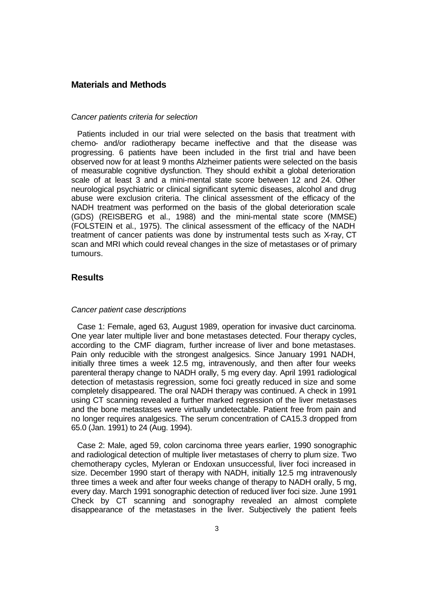## **Materials and Methods**

#### *Cancer patients criteria for selection*

Patients included in our trial were selected on the basis that treatment with chemo- and/or radiotherapy became ineffective and that the disease was progressing. 6 patients have been included in the first trial and have been observed now for at least 9 months Alzheimer patients were selected on the basis of measurable cognitive dysfunction. They should exhibit a global deterioration scale of at least 3 and a mini-mental state score between 12 and 24. Other neurological psychiatric or clinical significant sytemic diseases, alcohol and drug abuse were exclusion criteria. The clinical assessment of the efficacy of the NADH treatment was performed on the basis of the global deterioration scale (GDS) (REISBERG et al., 1988) and the mini-mental state score (MMSE) (FOLSTEIN et al., 1975). The clinical assessment of the efficacy of the NADH treatment of cancer patients was done by instrumental tests such as X-ray, CT scan and MRI which could reveal changes in the size of metastases or of primary tumours.

# **Results**

#### *Cancer patient case descriptions*

Case 1: Female, aged 63, August 1989, operation for invasive duct carcinoma. One year later multiple liver and bone metastases detected. Four therapy cycles, according to the CMF diagram, further increase of liver and bone metastases. Pain only reducible with the strongest analgesics. Since January 1991 NADH, initially three times a week 12.5 mg, intravenously, and then after four weeks parenteral therapy change to NADH orally, 5 mg every day. April 1991 radiological detection of metastasis regression, some foci greatly reduced in size and some completely disappeared. The oral NADH therapy was continued. A check in 1991 using CT scanning revealed a further marked regression of the liver metastases and the bone metastases were virtually undetectable. Patient free from pain and no longer requires analgesics. The serum concentration of CA15.3 dropped from 65.0 (Jan. 1991) to 24 (Aug. 1994).

Case 2: Male, aged 59, colon carcinoma three years earlier, 1990 sonographic and radiological detection of multiple liver metastases of cherry to plum size. Two chemotherapy cycles, Myleran or Endoxan unsuccessful, liver foci increased in size. December 1990 start of therapy with NADH, initially 12.5 mg intravenously three times a week and after four weeks change of therapy to NADH orally, 5 mg, every day. March 1991 sonographic detection of reduced liver foci size. June 1991 Check by CT scanning and sonography revealed an almost complete disappearance of the metastases in the liver. Subjectively the patient feels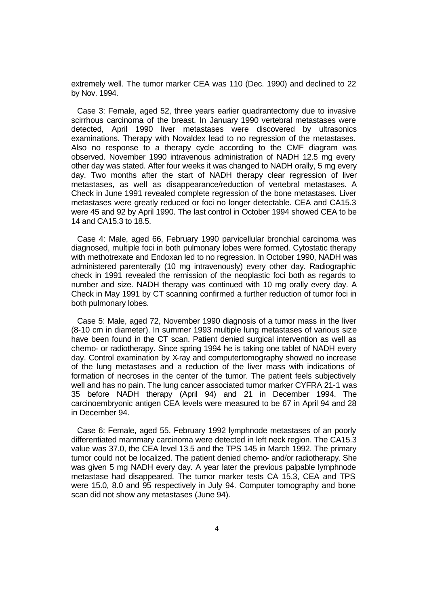extremely well. The tumor marker CEA was 110 (Dec. 1990) and declined to 22 by Nov. 1994.

Case 3: Female, aged 52, three years earlier quadrantectomy due to invasive scirrhous carcinoma of the breast. In January 1990 vertebral metastases were detected, April 1990 liver metastases were discovered by ultrasonics examinations. Therapy with Novaldex lead to no regression of the metastases. Also no response to a therapy cycle according to the CMF diagram was observed. November 1990 intravenous administration of NADH 12.5 mg every other day was stated. After four weeks it was changed to NADH orally, 5 mg every day. Two months after the start of NADH therapy clear regression of liver metastases, as well as disappearance/reduction of vertebral metastases. A Check in June 1991 revealed complete regression of the bone metastases. Liver metastases were greatly reduced or foci no longer detectable. CEA and CA15.3 were 45 and 92 by April 1990. The last control in October 1994 showed CEA to be 14 and CA15.3 to 18.5.

Case 4: Male, aged 66, February 1990 parvicellular bronchial carcinoma was diagnosed, multiple foci in both pulmonary lobes were formed. Cytostatic therapy with methotrexate and Endoxan led to no regression. In October 1990, NADH was administered parenterally (10 mg intravenously) every other day. Radiographic check in 1991 revealed the remission of the neoplastic foci both as regards to number and size. NADH therapy was continued with 10 mg orally every day. A Check in May 1991 by CT scanning confirmed a further reduction of tumor foci in both pulmonary lobes.

Case 5: Male, aged 72, November 1990 diagnosis of a tumor mass in the liver (8-10 cm in diameter). In summer 1993 multiple lung metastases of various size have been found in the CT scan. Patient denied surgical intervention as well as chemo- or radiotherapy. Since spring 1994 he is taking one tablet of NADH every day. Control examination by X-ray and computertomography showed no increase of the lung metastases and a reduction of the liver mass with indications of formation of necroses in the center of the tumor. The patient feels subjectively well and has no pain. The lung cancer associated tumor marker CYFRA 21-1 was 35 before NADH therapy (April 94) and 21 in December 1994. The carcinoembryonic antigen CEA levels were measured to be 67 in April 94 and 28 in December 94.

Case 6: Female, aged 55. February 1992 lymphnode metastases of an poorly differentiated mammary carcinoma were detected in left neck region. The CA15.3 value was 37.0, the CEA level 13.5 and the TPS 145 in March 1992. The primary tumor could not be localized. The patient denied chemo- and/or radiotherapy. She was given 5 mg NADH every day. A year later the previous palpable lymphnode metastase had disappeared. The tumor marker tests CA 15.3, CEA and TPS were 15.0, 8.0 and 95 respectively in July 94. Computer tomography and bone scan did not show any metastases (June 94).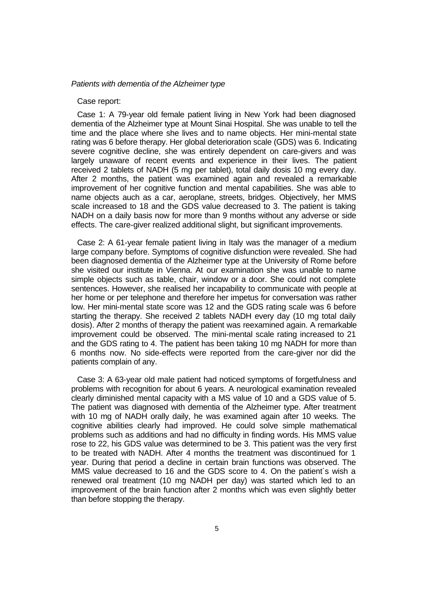### *Patients with dementia of the Alzheimer type*

## Case report:

Case 1: A 79-year old female patient living in New York had been diagnosed dementia of the Alzheimer type at Mount Sinai Hospital. She was unable to tell the time and the place where she lives and to name objects. Her mini-mental state rating was 6 before therapy. Her global deterioration scale (GDS) was 6. Indicating severe cognitive decline, she was entirely dependent on care-givers and was largely unaware of recent events and experience in their lives. The patient received 2 tablets of NADH (5 mg per tablet), total daily dosis 10 mg every day. After 2 months, the patient was examined again and revealed a remarkable improvement of her cognitive function and mental capabilities. She was able to name objects auch as a car, aeroplane, streets, bridges. Objectively, her MMS scale increased to 18 and the GDS value decreased to 3. The patient is taking NADH on a daily basis now for more than 9 months without any adverse or side effects. The care-giver realized additional slight, but significant improvements.

Case 2: A 61-year female patient living in Italy was the manager of a medium large company before. Symptoms of cognitive disfunction were revealed. She had been diagnosed dementia of the Alzheimer type at the University of Rome before she visited our institute in Vienna. At our examination she was unable to name simple objects such as table, chair, window or a door. She could not complete sentences. However, she realised her incapability to communicate with people at her home or per telephone and therefore her impetus for conversation was rather low. Her mini-mental state score was 12 and the GDS rating scale was 6 before starting the therapy. She received 2 tablets NADH every day (10 mg total daily dosis). After 2 months of therapy the patient was reexamined again. A remarkable improvement could be observed. The mini-mental scale rating increased to 21 and the GDS rating to 4. The patient has been taking 10 mg NADH for more than 6 months now. No side-effects were reported from the care-giver nor did the patients complain of any.

Case 3: A 63-year old male patient had noticed symptoms of forgetfulness and problems with recognition for about 6 years. A neurological examination revealed clearly diminished mental capacity with a MS value of 10 and a GDS value of 5. The patient was diagnosed with dementia of the Alzheimer type. After treatment with 10 mg of NADH orally daily, he was examined again after 10 weeks. The cognitive abilities clearly had improved. He could solve simple mathematical problems such as additions and had no difficulty in finding words. His MMS value rose to 22, his GDS value was determined to be 3. This patient was the very first to be treated with NADH. After 4 months the treatment was discontinued for 1 year. During that period a decline in certain brain functions was observed. The MMS value decreased to 16 and the GDS score to 4. On the patient´s wish a renewed oral treatment (10 mg NADH per day) was started which led to an improvement of the brain function after 2 months which was even slightly better than before stopping the therapy.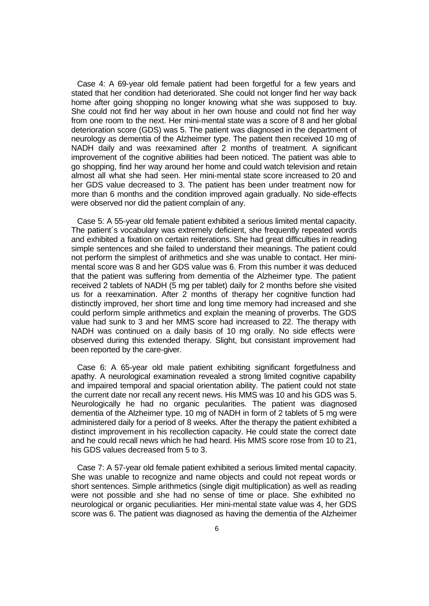Case 4: A 69-year old female patient had been forgetful for a few years and stated that her condition had deteriorated. She could not longer find her way back home after going shopping no longer knowing what she was supposed to buy. She could not find her way about in her own house and could not find her way from one room to the next. Her mini-mental state was a score of 8 and her global deterioration score (GDS) was 5. The patient was diagnosed in the department of neurology as dementia of the Alzheimer type. The patient then received 10 mg of NADH daily and was reexamined after 2 months of treatment. A significant improvement of the cognitive abilities had been noticed. The patient was able to go shopping, find her way around her home and could watch television and retain almost all what she had seen. Her mini-mental state score increased to 20 and her GDS value decreased to 3. The patient has been under treatment now for more than 6 months and the condition improved again gradually. No side-effects were observed nor did the patient complain of any.

Case 5: A 55-year old female patient exhibited a serious limited mental capacity. The patient´s vocabulary was extremely deficient, she frequently repeated words and exhibited a fixation on certain reiterations. She had great difficulties in reading simple sentences and she failed to understand their meanings. The patient could not perform the simplest of arithmetics and she was unable to contact. Her minimental score was 8 and her GDS value was 6. From this number it was deduced that the patient was suffering from dementia of the Alzheimer type. The patient received 2 tablets of NADH (5 mg per tablet) daily for 2 months before she visited us for a reexamination. After 2 months of therapy her cognitive function had distinctly improved, her short time and long time memory had increased and she could perform simple arithmetics and explain the meaning of proverbs. The GDS value had sunk to 3 and her MMS score had increased to 22. The therapy with NADH was continued on a daily basis of 10 mg orally. No side effects were observed during this extended therapy. Slight, but consistant improvement had been reported by the care-giver.

Case 6: A 65-year old male patient exhibiting significant forgetfulness and apathy. A neurological examination revealed a strong limited cognitive capability and impaired temporal and spacial orientation ability. The patient could not state the current date nor recall any recent news. His MMS was 10 and his GDS was 5. Neurologically he had no organic pecularities. The patient was diagnosed dementia of the Alzheimer type. 10 mg of NADH in form of 2 tablets of 5 mg were administered daily for a period of 8 weeks. After the therapy the patient exhibited a distinct improvement in his recollection capacity. He could state the correct date and he could recall news which he had heard. His MMS score rose from 10 to 21, his GDS values decreased from 5 to 3.

Case 7: A 57-year old female patient exhibited a serious limited mental capacity. She was unable to recognize and name objects and could not repeat words or short sentences. Simple arithmetics (single digit multiplication) as well as reading were not possible and she had no sense of time or place. She exhibited no neurological or organic peculiarities. Her mini-mental state value was 4, her GDS score was 6. The patient was diagnosed as having the dementia of the Alzheimer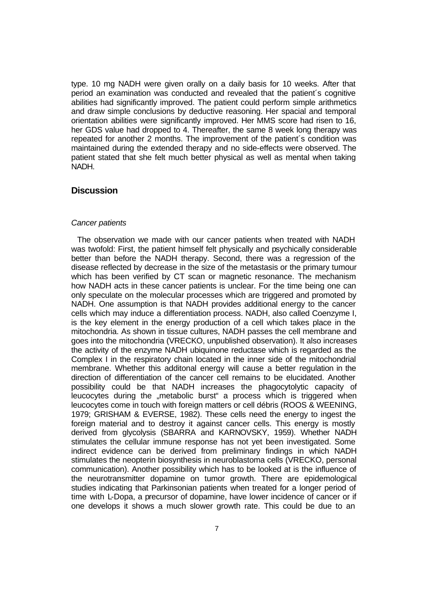type. 10 mg NADH were given orally on a daily basis for 10 weeks. After that period an examination was conducted and revealed that the patient´s cognitive abilities had significantly improved. The patient could perform simple arithmetics and draw simple conclusions by deductive reasoning. Her spacial and temporal orientation abilities were significantly improved. Her MMS score had risen to 16, her GDS value had dropped to 4. Thereafter, the same 8 week long therapy was repeated for another 2 months. The improvement of the patient´s condition was maintained during the extended therapy and no side-effects were observed. The patient stated that she felt much better physical as well as mental when taking NADH.

## **Discussion**

#### *Cancer patients*

The observation we made with our cancer patients when treated with NADH was twofold: First, the patient himself felt physically and psychically considerable better than before the NADH therapy. Second, there was a regression of the disease reflected by decrease in the size of the metastasis or the primary tumour which has been verified by CT scan or magnetic resonance. The mechanism how NADH acts in these cancer patients is unclear. For the time being one can only speculate on the molecular processes which are triggered and promoted by NADH. One assumption is that NADH provides additional energy to the cancer cells which may induce a differentiation process. NADH, also called Coenzyme I, is the key element in the energy production of a cell which takes place in the mitochondria. As shown in tissue cultures, NADH passes the cell membrane and goes into the mitochondria (VRECKO, unpublished observation). It also increases the activity of the enzyme NADH ubiquinone reductase which is regarded as the Complex I in the respiratory chain located in the inner side of the mitochondrial membrane. Whether this additonal energy will cause a better regulation in the direction of differentiation of the cancer cell remains to be elucidated. Another possibility could be that NADH increases the phagocytolytic capacity of leucocytes during the "metabolic burst" a process which is triggered when leucocytes come in touch with foreign matters or cell débris (ROOS & WEENING, 1979; GRISHAM & EVERSE, 1982). These cells need the energy to ingest the foreign material and to destroy it against cancer cells. This energy is mostly derived from glycolysis (SBARRA and KARNOVSKY, 1959). Whether NADH stimulates the cellular immune response has not yet been investigated. Some indirect evidence can be derived from preliminary findings in which NADH stimulates the neopterin biosynthesis in neuroblastoma cells (VRECKO, personal communication). Another possibility which has to be looked at is the influence of the neurotransmitter dopamine on tumor growth. There are epidemological studies indicating that Parkinsonian patients when treated for a longer period of time with L-Dopa, a precursor of dopamine, have lower incidence of cancer or if one develops it shows a much slower growth rate. This could be due to an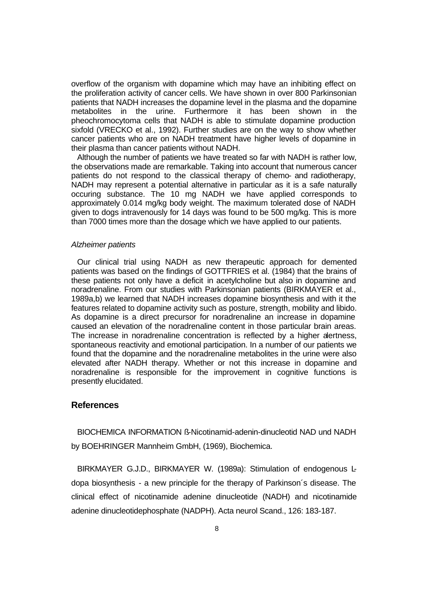overflow of the organism with dopamine which may have an inhibiting effect on the proliferation activity of cancer cells. We have shown in over 800 Parkinsonian patients that NADH increases the dopamine level in the plasma and the dopamine metabolites in the urine. Furthermore it has been shown in the pheochromocytoma cells that NADH is able to stimulate dopamine production sixfold (VRECKO et al., 1992). Further studies are on the way to show whether cancer patients who are on NADH treatment have higher levels of dopamine in their plasma than cancer patients without NADH.

Although the number of patients we have treated so far with NADH is rather low, the observations made are remarkable. Taking into account that numerous cancer patients do not respond to the classical therapy of chemo- and radiotherapy, NADH may represent a potential alternative in particular as it is a safe naturally occuring substance. The 10 mg NADH we have applied corresponds to approximately 0.014 mg/kg body weight. The maximum tolerated dose of NADH given to dogs intravenously for 14 days was found to be 500 mg/kg. This is more than 7000 times more than the dosage which we have applied to our patients.

#### *Alzheimer patients*

Our clinical trial using NADH as new therapeutic approach for demented patients was based on the findings of GOTTFRIES et al. (1984) that the brains of these patients not only have a deficit in acetylcholine but also in dopamine and noradrenaline. From our studies with Parkinsonian patients (BIRKMAYER et al., 1989a,b) we learned that NADH increases dopamine biosynthesis and with it the features related to dopamine activity such as posture, strength, mobility and libido. As dopamine is a direct precursor for noradrenaline an increase in dopamine caused an elevation of the noradrenaline content in those particular brain areas. The increase in noradrenaline concentration is reflected by a higher alertness, spontaneous reactivity and emotional participation. In a number of our patients we found that the dopamine and the noradrenaline metabolites in the urine were also elevated after NADH therapy. Whether or not this increase in dopamine and noradrenaline is responsible for the improvement in cognitive functions is presently elucidated.

## **References**

BIOCHEMICA INFORMATION ß-Nicotinamid-adenin-dinucleotid NAD und NADH by BOEHRINGER Mannheim GmbH, (1969), Biochemica.

BIRKMAYER G.J.D., BIRKMAYER W. (1989a): Stimulation of endogenous Ldopa biosynthesis - a new principle for the therapy of Parkinson´s disease. The clinical effect of nicotinamide adenine dinucleotide (NADH) and nicotinamide adenine dinucleotidephosphate (NADPH). Acta neurol Scand., 126: 183-187.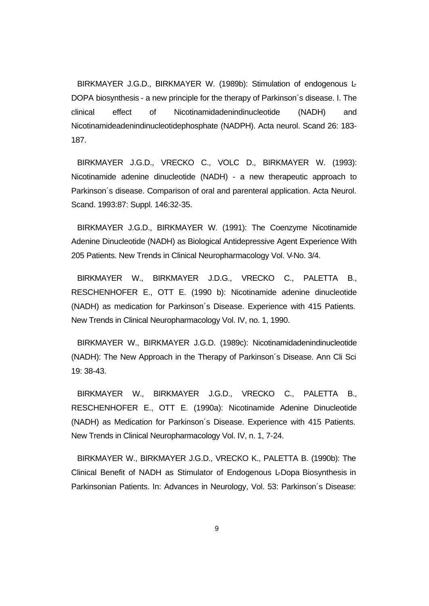BIRKMAYER J.G.D., BIRKMAYER W. (1989b): Stimulation of endogenous L-DOPA biosynthesis - a new principle for the therapy of Parkinson´s disease. I. The clinical effect of Nicotinamidadenindinucleotide (NADH) and Nicotinamideadenindinucleotidephosphate (NADPH). Acta neurol. Scand 26: 183- 187.

BIRKMAYER J.G.D., VRECKO C., VOLC D., BIRKMAYER W. (1993): Nicotinamide adenine dinucleotide (NADH) - a new therapeutic approach to Parkinson´s disease. Comparison of oral and parenteral application. Acta Neurol. Scand. 1993:87: Suppl. 146:32-35.

BIRKMAYER J.G.D., BIRKMAYER W. (1991): The Coenzyme Nicotinamide Adenine Dinucleotide (NADH) as Biological Antidepressive Agent Experience With 205 Patients. New Trends in Clinical Neuropharmacology Vol. V-No. 3/4.

BIRKMAYER W., BIRKMAYER J.D.G., VRECKO C., PALETTA B., RESCHENHOFER E., OTT E. (1990 b): Nicotinamide adenine dinucleotide (NADH) as medication for Parkinson´s Disease. Experience with 415 Patients. New Trends in Clinical Neuropharmacology Vol. IV, no. 1, 1990.

BIRKMAYER W., BIRKMAYER J.G.D. (1989c): Nicotinamidadenindinucleotide (NADH): The New Approach in the Therapy of Parkinson´s Disease. Ann Cli Sci 19: 38-43.

BIRKMAYER W., BIRKMAYER J.G.D., VRECKO C., PALETTA B., RESCHENHOFER E., OTT E. (1990a): Nicotinamide Adenine Dinucleotide (NADH) as Medication for Parkinson´s Disease. Experience with 415 Patients. New Trends in Clinical Neuropharmacology Vol. IV, n. 1, 7-24.

BIRKMAYER W., BIRKMAYER J.G.D., VRECKO K., PALETTA B. (1990b): The Clinical Benefit of NADH as Stimulator of Endogenous L-Dopa Biosynthesis in Parkinsonian Patients. In: Advances in Neurology, Vol. 53: Parkinson´s Disease: